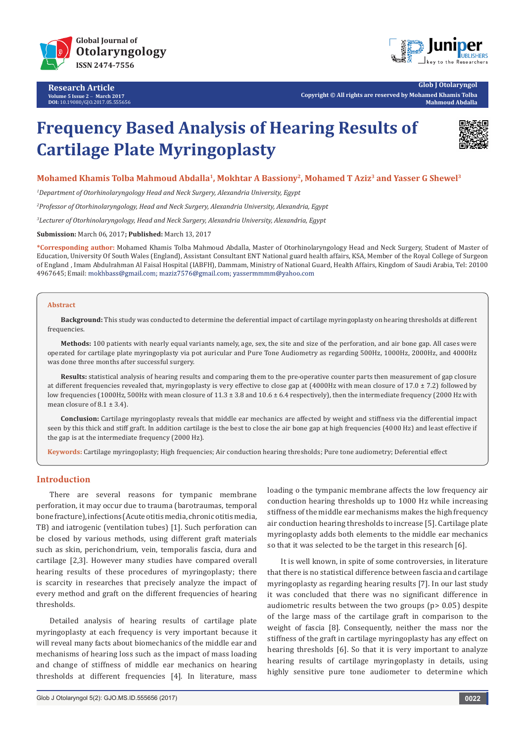



**Glob J Otolaryngol Copyright © All rights are reserved by Mohamed Khamis Tolba Mahmoud Abdalla**

# **Frequency Based Analysis of Hearing Results of Cartilage Plate Myringoplasty**



# **Mohamed Khamis Tolba Mahmoud Abdalla1, Mokhtar A Bassiony2, Mohamed T Aziz3 and Yasser G Shewel3**

*1 Department of Otorhinolaryngology Head and Neck Surgery, Alexandria University, Egypt*

*2 Professor of Otorhinolaryngology, Head and Neck Surgery, Alexandria University, Alexandria, Egypt*

*3 Lecturer of Otorhinolaryngology, Head and Neck Surgery, Alexandria University, Alexandria, Egypt*

**Submission:** March 06, 2017**; Published:** March 13, 2017

**\*Corresponding author:** Mohamed Khamis Tolba Mahmoud Abdalla, Master of Otorhinolaryngology Head and Neck Surgery, Student of Master of Education, University Of South Wales (England), Assistant Consultant ENT National guard health affairs, KSA, Member of the Royal College of Surgeon of England , Imam Abdulrahman Al Faisal Hospital (IABFH), Dammam, Ministry of National Guard, Health Affairs, Kingdom of Saudi Arabia, Tel: 20100 4967645; Email: mokhbass@gmail.com; maziz7576@gmail.com; yassermmmm@yahoo.com

#### **Abstract**

**Background:** This study was conducted to determine the deferential impact of cartilage myringoplasty on hearing thresholds at different frequencies.

**Methods:** 100 patients with nearly equal variants namely, age, sex, the site and size of the perforation, and air bone gap. All cases were operated for cartilage plate myringoplasty via pot auricular and Pure Tone Audiometry as regarding 500Hz, 1000Hz, 2000Hz, and 4000Hz was done three months after successful surgery.

**Results:** statistical analysis of hearing results and comparing them to the pre-operative counter parts then measurement of gap closure at different frequencies revealed that, myringoplasty is very effective to close gap at (4000Hz with mean closure of 17.0 ± 7.2) followed by low frequencies (1000Hz, 500Hz with mean closure of 11.3 ± 3.8 and 10.6 ± 6.4 respectively), then the intermediate frequency (2000 Hz with mean closure of  $8.1 \pm 3.4$ ).

**Conclusion:** Cartilage myringoplasty reveals that middle ear mechanics are affected by weight and stiffness via the differential impact seen by this thick and stiff graft. In addition cartilage is the best to close the air bone gap at high frequencies (4000 Hz) and least effective if the gap is at the intermediate frequency (2000 Hz).

**Keywords:** Cartilage myringoplasty; High frequencies; Air conduction hearing thresholds; Pure tone audiometry; Deferential effect

# **Introduction**

There are several reasons for tympanic membrane perforation, it may occur due to trauma (barotraumas, temporal bone fracture), infections (Acute otitis media, chronic otitis media, TB) and iatrogenic (ventilation tubes) [1]. Such perforation can be closed by various methods, using different graft materials such as skin, perichondrium, vein, temporalis fascia, dura and cartilage [2,3]. However many studies have compared overall hearing results of these procedures of myringoplasty; there is scarcity in researches that precisely analyze the impact of every method and graft on the different frequencies of hearing thresholds.

Detailed analysis of hearing results of cartilage plate myringoplasty at each frequency is very important because it will reveal many facts about biomechanics of the middle ear and mechanisms of hearing loss such as the impact of mass loading and change of stiffness of middle ear mechanics on hearing thresholds at different frequencies [4]. In literature, mass

loading o the tympanic membrane affects the low frequency air conduction hearing thresholds up to 1000 Hz while increasing stiffness of the middle ear mechanisms makes the high frequency air conduction hearing thresholds to increase [5]. Cartilage plate myringoplasty adds both elements to the middle ear mechanics so that it was selected to be the target in this research [6].

It is well known, in spite of some controversies, in literature that there is no statistical difference between fascia and cartilage myringoplasty as regarding hearing results [7]. In our last study it was concluded that there was no significant difference in audiometric results between the two groups (p> 0.05) despite of the large mass of the cartilage graft in comparison to the weight of fascia [8]. Consequently, neither the mass nor the stiffness of the graft in cartilage myringoplasty has any effect on hearing thresholds [6]. So that it is very important to analyze hearing results of cartilage myringoplasty in details, using highly sensitive pure tone audiometer to determine which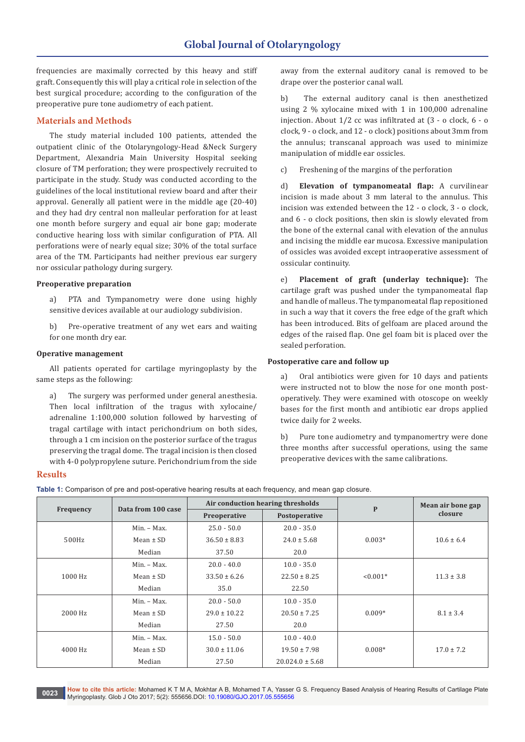frequencies are maximally corrected by this heavy and stiff graft. Consequently this will play a critical role in selection of the best surgical procedure; according to the configuration of the preoperative pure tone audiometry of each patient.

# **Materials and Methods**

The study material included 100 patients, attended the outpatient clinic of the Otolaryngology-Head &Neck Surgery Department, Alexandria Main University Hospital seeking closure of TM perforation; they were prospectively recruited to participate in the study. Study was conducted according to the guidelines of the local institutional review board and after their approval. Generally all patient were in the middle age (20-40) and they had dry central non malleular perforation for at least one month before surgery and equal air bone gap; moderate conductive hearing loss with similar configuration of PTA. All perforations were of nearly equal size; 30% of the total surface area of the TM. Participants had neither previous ear surgery nor ossicular pathology during surgery.

### **Preoperative preparation**

a) PTA and Tympanometry were done using highly sensitive devices available at our audiology subdivision.

b) Pre-operative treatment of any wet ears and waiting for one month dry ear.

### **Operative management**

All patients operated for cartilage myringoplasty by the same steps as the following:

a) The surgery was performed under general anesthesia. Then local infiltration of the tragus with xylocaine/ adrenaline 1:100,000 solution followed by harvesting of tragal cartilage with intact perichondrium on both sides, through a 1 cm incision on the posterior surface of the tragus preserving the tragal dome. The tragal incision is then closed with 4-0 polypropylene suture. Perichondrium from the side

away from the external auditory canal is removed to be drape over the posterior canal wall.

b) The external auditory canal is then anesthetized using 2 % xylocaine mixed with 1 in 100,000 adrenaline injection. About 1/2 cc was infiltrated at (3 - o clock, 6 - o clock, 9 - o clock, and 12 - o clock) positions about 3mm from the annulus; transcanal approach was used to minimize manipulation of middle ear ossicles.

c) Freshening of the margins of the perforation

d) **Elevation of tympanomeatal flap:** A curvilinear incision is made about 3 mm lateral to the annulus. This incision was extended between the 12 - o clock, 3 - o clock, and 6 - o clock positions, then skin is slowly elevated from the bone of the external canal with elevation of the annulus and incising the middle ear mucosa. Excessive manipulation of ossicles was avoided except intraoperative assessment of ossicular continuity.

e) **Placement of graft (underlay technique):** The cartilage graft was pushed under the tympanomeatal flap and handle of malleus. The tympanomeatal flap repositioned in such a way that it covers the free edge of the graft which has been introduced. Bits of gelfoam are placed around the edges of the raised flap. One gel foam bit is placed over the sealed perforation.

# **Postoperative care and follow up**

a) Oral antibiotics were given for 10 days and patients were instructed not to blow the nose for one month postoperatively. They were examined with otoscope on weekly bases for the first month and antibiotic ear drops applied twice daily for 2 weeks.

b) Pure tone audiometry and tympanomertry were done three months after successful operations, using the same preoperative devices with the same calibrations.

#### **Results**

**Table 1:** Comparison of pre and post-operative hearing results at each frequency, and mean gap closure.

| Frequency | Data from 100 case |                                                  | Air conduction hearing thresholds |               | Mean air bone gap |
|-----------|--------------------|--------------------------------------------------|-----------------------------------|---------------|-------------------|
|           |                    | Preoperative                                     | Postoperative                     | $\mathbf{P}$  | closure           |
| 500Hz     | Min. - Max.        | $25.0 - 50.0$                                    | $20.0 - 35.0$                     |               | $10.6 \pm 6.4$    |
|           | Mean $\pm$ SD      | $36.50 \pm 8.83$                                 | $24.0 \pm 5.68$                   | $0.003*$      |                   |
|           | Median             | 37.50                                            | 20.0                              |               |                   |
| 1000 Hz   | Min. - Max.        | $20.0 - 40.0$                                    | $10.0 - 35.0$                     |               | $11.3 \pm 3.8$    |
|           | Mean $\pm$ SD      | $33.50 \pm 6.26$                                 | $22.50 \pm 8.25$                  | $< 0.001*$    |                   |
|           | Median             | 35.0                                             | 22.50                             |               |                   |
| 2000 Hz   | $Min. - Max.$      | $20.0 - 50.0$                                    | $10.0 - 35.0$                     |               |                   |
|           | Mean $\pm$ SD      | $29.0 \pm 10.22$<br>$20.50 \pm 7.25$<br>$0.009*$ |                                   | $8.1 \pm 3.4$ |                   |
|           | Median             | 27.50                                            | 20.0                              |               |                   |
| 4000 Hz   | Min. - Max.        | $15.0 - 50.0$                                    | $10.0 - 40.0$                     |               | $17.0 \pm 7.2$    |
|           | Mean $\pm$ SD      | $30.0 \pm 11.06$                                 | $19.50 \pm 7.98$                  | $0.008*$      |                   |
|           | Median             | 27.50<br>$20.024.0 \pm 5.68$                     |                                   |               |                   |

**How to cite this article:** Mohamed K T M A, Mokhtar A B, Mohamed T A, Yasser G S. Frequency Based Analysis of Hearing Results of Cartilage Plate **0023** Myringoplasty. Glob J Oto 2017; 5(2): 555656.DOI: [10.19080/GJO.2017.05.555656](http://dx.doi.org/10.19080/GJO.2017.05.555656
)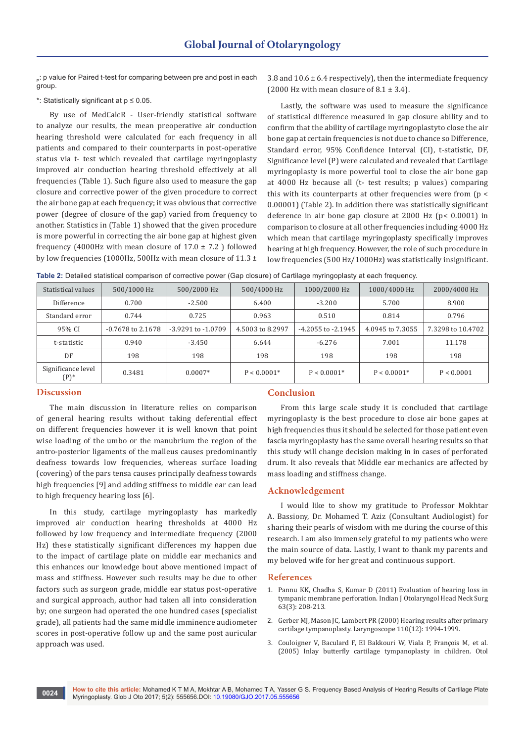p: p value for Paired t-test for comparing between pre and post in each group.

\*: Statistically significant at p ≤ 0.05.

By use of MedCalcR - User-friendly statistical software to analyze our results, the mean preoperative air conduction hearing threshold were calculated for each frequency in all patients and compared to their counterparts in post-operative status via t- test which revealed that cartilage myringoplasty improved air conduction hearing threshold effectively at all frequencies (Table 1). Such figure also used to measure the gap closure and corrective power of the given procedure to correct the air bone gap at each frequency; it was obvious that corrective power (degree of closure of the gap) varied from frequency to another. Statistics in (Table 1) showed that the given procedure is more powerful in correcting the air bone gap at highest given frequency (4000Hz with mean closure of  $17.0 \pm 7.2$ ) followed by low frequencies (1000Hz, 500Hz with mean closure of 11.3 ± 3.8 and  $10.6 \pm 6.4$  respectively), then the intermediate frequency (2000 Hz with mean closure of  $8.1 \pm 3.4$ ).

Lastly, the software was used to measure the significance of statistical difference measured in gap closure ability and to confirm that the ability of cartilage myringoplastyto close the air bone gap at certain frequencies is not due to chance so Difference, Standard error, 95% Confidence Interval (CI), t-statistic, DF, Significance level (P) were calculated and revealed that Cartilage myringoplasty is more powerful tool to close the air bone gap at 4000 Hz because all (t- test results; p values) comparing this with its counterparts at other frequencies were from  $(p <$ 0.00001) (Table 2). In addition there was statistically significant deference in air bone gap closure at 2000 Hz (p< 0.0001) in comparison to closure at all other frequencies including 4000 Hz which mean that cartilage myringoplasty specifically improves hearing at high frequency. However, the role of such procedure in low frequencies (500 Hz/1000Hz) was statistically insignificant.

**Table 2:** Detailed statistical comparison of corrective power (Gap closure) of Cartilage myringoplasty at each frequency.

| Statistical values         | 500/1000 Hz         | 500/2000 Hz            | 500/4000 Hz      | 1000/2000 Hz           | 1000/4000 Hz     | 2000/4000 Hz      |
|----------------------------|---------------------|------------------------|------------------|------------------------|------------------|-------------------|
| Difference                 | 0.700               | $-2.500$               | 6.400            | $-3.200$               | 5.700            | 8.900             |
| Standard error             | 0.744               | 0.725                  | 0.963            | 0.510                  | 0.814            | 0.796             |
| 95% CI                     | $-0.7678$ to 2.1678 | $-3.9291$ to $-1.0709$ | 4.5003 to 8.2997 | $-4.2055$ to $-2.1945$ | 4.0945 to 7.3055 | 7.3298 to 10.4702 |
| t-statistic                | 0.940               | $-3.450$               | 6.644            | $-6.276$               | 7.001            | 11.178            |
| DF                         | 198                 | 198                    | 198              | 198                    | 198              | 198               |
| Significance level<br>(P)* | 0.3481              | $0.0007*$              | $P < 0.0001*$    | $P < 0.0001*$          | $P < 0.0001*$    | P < 0.0001        |

#### **Discussion**

The main discussion in literature relies on comparison of general hearing results without taking deferential effect on different frequencies however it is well known that point wise loading of the umbo or the manubrium the region of the antro-posterior ligaments of the malleus causes predominantly deafness towards low frequencies, whereas surface loading (covering) of the pars tensa causes principally deafness towards high frequencies [9] and adding stiffness to middle ear can lead to high frequency hearing loss [6].

In this study, cartilage myringoplasty has markedly improved air conduction hearing thresholds at 4000 Hz followed by low frequency and intermediate frequency (2000 Hz) these statistically significant differences my happen due to the impact of cartilage plate on middle ear mechanics and this enhances our knowledge bout above mentioned impact of mass and stiffness. However such results may be due to other factors such as surgeon grade, middle ear status post-operative and surgical approach, author had taken all into consideration by; one surgeon had operated the one hundred cases (specialist grade), all patients had the same middle imminence audiometer scores in post-operative follow up and the same post auricular approach was used.

#### **Conclusion**

From this large scale study it is concluded that cartilage myringoplasty is the best procedure to close air bone gapes at high frequencies thus it should be selected for those patient even fascia myringoplasty has the same overall hearing results so that this study will change decision making in in cases of perforated drum. It also reveals that Middle ear mechanics are affected by mass loading and stiffness change.

#### **Acknowledgement**

I would like to show my gratitude to Professor Mokhtar A. Bassiony, Dr. Mohamed T. Aziz (Consultant Audiologist) for sharing their pearls of wisdom with me during the course of this research. I am also immensely grateful to my patients who were the main source of data. Lastly, I want to thank my parents and my beloved wife for her great and continuous support.

#### **References**

- 1. [Pannu KK, Chadha S, Kumar D \(2011\) Evaluation of hearing loss in](https://www.ncbi.nlm.nih.gov/pubmed/22754796)  [tympanic membrane perforation. Indian J Otolaryngol Head Neck Surg](https://www.ncbi.nlm.nih.gov/pubmed/22754796)  [63\(3\): 208-213.](https://www.ncbi.nlm.nih.gov/pubmed/22754796)
- 2. [Gerber MJ, Mason JC, Lambert PR \(2000\) Hearing results after primary](https://www.ncbi.nlm.nih.gov/pubmed/11129007)  [cartilage tympanoplasty. Laryngoscope 110\(12\): 1994-1999.](https://www.ncbi.nlm.nih.gov/pubmed/11129007)
- 3. [Couloigner V, Baculard F, El Bakkouri W, Viala P, François M, et al.](https://www.ncbi.nlm.nih.gov/pubmed/15793413)  [\(2005\) Inlay butterfly cartilage tympanoplasty in children. Otol](https://www.ncbi.nlm.nih.gov/pubmed/15793413)